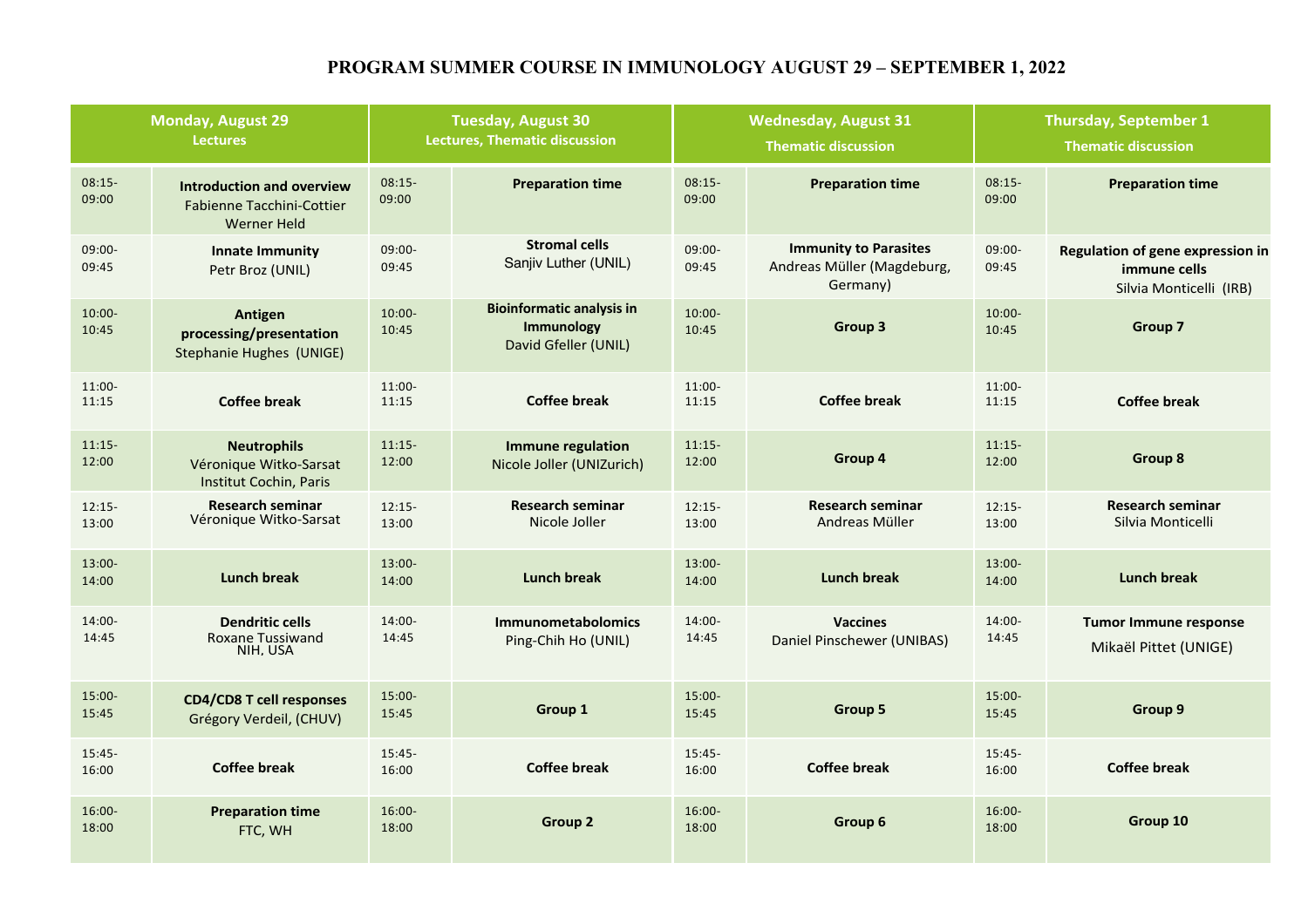# **PROGRAM SUMMER COURSE IN IMMUNOLOGY AUGUST 29 – SEPTEMBER 1, 2022**

| <b>Monday, August 29</b><br><b>Lectures</b> |                                                                                     | <b>Tuesday, August 30</b><br><b>Lectures, Thematic discussion</b> |                                                                               | <b>Wednesday, August 31</b><br><b>Thematic discussion</b> |                                                                        | <b>Thursday, September 1</b><br><b>Thematic discussion</b> |                                                                             |
|---------------------------------------------|-------------------------------------------------------------------------------------|-------------------------------------------------------------------|-------------------------------------------------------------------------------|-----------------------------------------------------------|------------------------------------------------------------------------|------------------------------------------------------------|-----------------------------------------------------------------------------|
| $08:15-$<br>09:00                           | <b>Introduction and overview</b><br><b>Fabienne Tacchini-Cottier</b><br>Werner Held | $08:15-$<br>09:00                                                 | <b>Preparation time</b>                                                       | $08:15-$<br>09:00                                         | <b>Preparation time</b>                                                | $08:15-$<br>09:00                                          | <b>Preparation time</b>                                                     |
| $09:00 -$<br>09:45                          | <b>Innate Immunity</b><br>Petr Broz (UNIL)                                          | 09:00-<br>09:45                                                   | <b>Stromal cells</b><br>Sanjiv Luther (UNIL)                                  | 09:00-<br>09:45                                           | <b>Immunity to Parasites</b><br>Andreas Müller (Magdeburg,<br>Germany) | 09:00-<br>09:45                                            | Regulation of gene expression in<br>immune cells<br>Silvia Monticelli (IRB) |
| $10:00 -$<br>10:45                          | Antigen<br>processing/presentation<br>Stephanie Hughes (UNIGE)                      | $10:00 -$<br>10:45                                                | <b>Bioinformatic analysis in</b><br><b>Immunology</b><br>David Gfeller (UNIL) | $10:00 -$<br>10:45                                        | Group 3                                                                | $10:00 -$<br>10:45                                         | Group 7                                                                     |
| $11:00-$<br>11:15                           | <b>Coffee break</b>                                                                 | $11:00 -$<br>11:15                                                | <b>Coffee break</b>                                                           | 11:00-<br>11:15                                           | <b>Coffee break</b>                                                    | $11:00-$<br>11:15                                          | <b>Coffee break</b>                                                         |
| $11:15-$<br>12:00                           | <b>Neutrophils</b><br>Véronique Witko-Sarsat<br>Institut Cochin, Paris              | $11:15-$<br>12:00                                                 | <b>Immune regulation</b><br>Nicole Joller (UNIZurich)                         | $11:15-$<br>12:00                                         | Group 4                                                                | $11:15-$<br>12:00                                          | <b>Group 8</b>                                                              |
| $12:15-$<br>13:00                           | <b>Research seminar</b><br>Véronique Witko-Sarsat                                   | $12:15-$<br>13:00                                                 | <b>Research seminar</b><br>Nicole Joller                                      | $12:15-$<br>13:00                                         | <b>Research seminar</b><br>Andreas Müller                              | $12:15-$<br>13:00                                          | <b>Research seminar</b><br>Silvia Monticelli                                |
| $13:00 -$<br>14:00                          | <b>Lunch break</b>                                                                  | $13:00 -$<br>14:00                                                | <b>Lunch break</b>                                                            | $13:00 -$<br>14:00                                        | <b>Lunch break</b>                                                     | $13:00 -$<br>14:00                                         | <b>Lunch break</b>                                                          |
| 14:00-<br>14:45                             | <b>Dendritic cells</b><br><b>Roxane Tussiwand</b><br>NIH, USA                       | 14:00-<br>14:45                                                   | <b>Immunometabolomics</b><br>Ping-Chih Ho (UNIL)                              | 14:00-<br>14:45                                           | <b>Vaccines</b><br>Daniel Pinschewer (UNIBAS)                          | 14:00-<br>14:45                                            | <b>Tumor Immune response</b><br>Mikaël Pittet (UNIGE)                       |
| $15:00 -$<br>15:45                          | <b>CD4/CD8 T cell responses</b><br>Grégory Verdeil, (CHUV)                          | 15:00-<br>15:45                                                   | Group 1                                                                       | $15:00 -$<br>15:45                                        | Group 5                                                                | $15:00 -$<br>15:45                                         | Group 9                                                                     |
| $15:45 -$<br>16:00                          | <b>Coffee break</b>                                                                 | $15:45-$<br>16:00                                                 | <b>Coffee break</b>                                                           | $15:45-$<br>16:00                                         | Coffee break                                                           | $15:45-$<br>16:00                                          | <b>Coffee break</b>                                                         |
| $16:00 -$<br>18:00                          | <b>Preparation time</b><br>FTC, WH                                                  | $16:00 -$<br>18:00                                                | Group <sub>2</sub>                                                            | $16:00 -$<br>18:00                                        | Group 6                                                                | $16:00 -$<br>18:00                                         | Group 10                                                                    |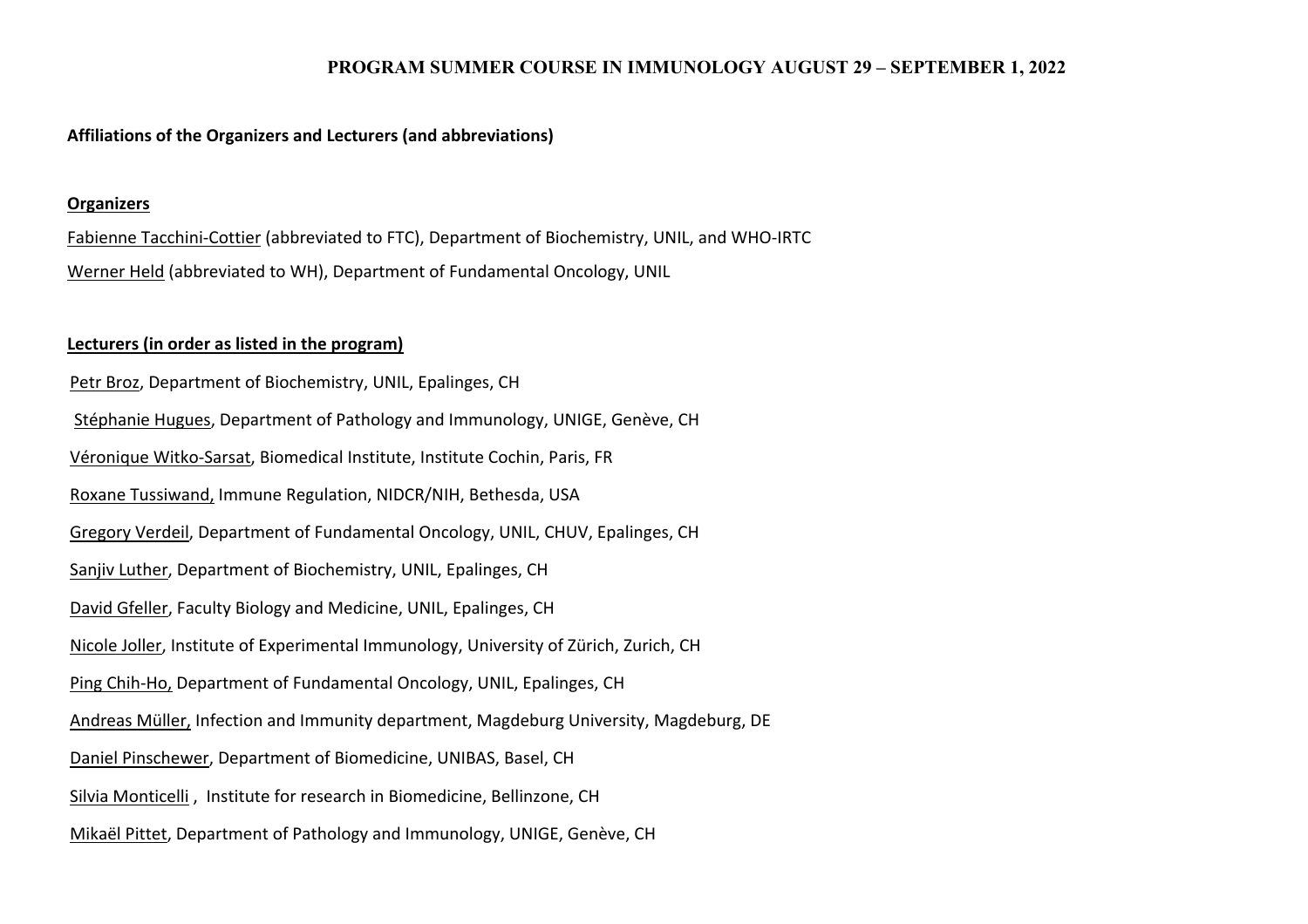## **PROGRAM SUMMER COURSE IN IMMUNOLOGY AUGUST 29 – SEPTEMBER 1, 2022**

#### **Affiliations of the Organizers and Lecturers (and abbreviations)**

#### **Organizers**

Fabienne Tacchini-Cottier (abbreviated to FTC), Department of Biochemistry, UNIL, and WHO-IRTC Werner Held (abbreviated to WH), Department of Fundamental Oncology, UNIL

### **Lecturers (in order as listed in the program)**

Petr Broz, Department of Biochemistry, UNIL, Epalinges, CH Stéphanie Hugues, Department of Pathology and Immunology, UNIGE, Genève, CH Véronique Witko-Sarsat, Biomedical Institute, Institute Cochin, Paris, FR Roxane Tussiwand, Immune Regulation, NIDCR/NIH, Bethesda, USA Gregory Verdeil, Department of Fundamental Oncology, UNIL, CHUV, Epalinges, CH Sanjiv Luther, Department of Biochemistry, UNIL, Epalinges, CH David Gfeller, Faculty Biology and Medicine, UNIL, Epalinges, CH Nicole Joller, Institute of Experimental Immunology, University of Zürich, Zurich, CH Ping Chih-Ho, Department of Fundamental Oncology, UNIL, Epalinges, CH Andreas Müller, Infection and Immunity department, Magdeburg University, Magdeburg, DE Daniel Pinschewer, Department of Biomedicine, UNIBAS, Basel, CH Silvia Monticelli , Institute for research in Biomedicine, Bellinzone, CH Mikaël Pittet, Department of Pathology and Immunology, UNIGE, Genève, CH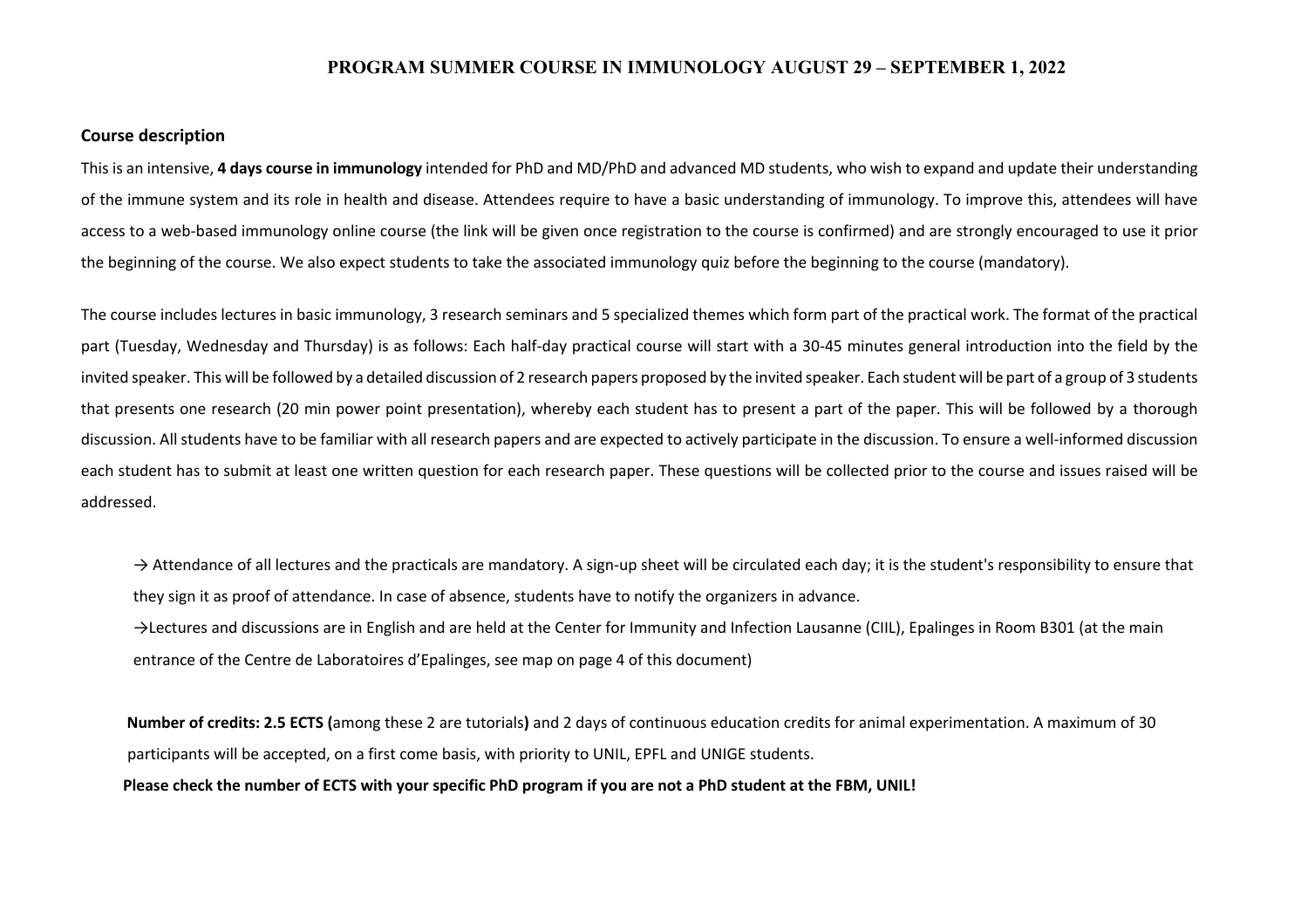#### **PROGRAM SUMMER COURSE IN IMMUNOLOGY AUGUST 29 – SEPTEMBER 1, 2022**

#### **Course description**

This is an intensive, **4 days course in immunology** intended for PhD and MD/PhD and advanced MD students, who wish to expand and update their understanding of the immune system and its role in health and disease. Attendees require to have a basic understanding of immunology. To improve this, attendees will have access to a web-based immunology online course (the link will be given once registration to the course is confirmed) and are strongly encouraged to use it prior the beginning of the course. We also expect students to take the associated immunology quiz before the beginning to the course (mandatory).

The course includes lectures in basic immunology, 3 research seminars and 5 specialized themes which form part of the practical work. The format of the practical part (Tuesday, Wednesday and Thursday) is as follows: Each half-day practical course will start with a 30-45 minutes general introduction into the field by the invited speaker. This will be followed by a detailed discussion of 2 research papers proposed by the invited speaker. Each student will be part of a group of 3 students that presents one research (20 min power point presentation), whereby each student has to present a part of the paper. This will be followed by a thorough discussion. All students have to be familiar with all research papers and are expected to actively participate in the discussion. To ensure a well-informed discussion each student has to submit at least one written question for each research paper. These questions will be collected prior to the course and issues raised will be addressed.

 $\rightarrow$  Attendance of all lectures and the practicals are mandatory. A sign-up sheet will be circulated each day; it is the student's responsibility to ensure that they sign it as proof of attendance. In case of absence, students have to notify the organizers in advance.

→Lectures and discussions are in English and are held at the Center for Immunity and Infection Lausanne (CIIL), Epalinges in Room B301 (at the main entrance of the Centre de Laboratoires d'Epalinges, see map on page 4 of this document)

**Number of credits: 2.5 ECTS (**among these 2 are tutorials**)** and 2 days of continuous education credits for animal experimentation. A maximum of 30 participants will be accepted, on a first come basis, with priority to UNIL, EPFL and UNIGE students.

**Please check the number of ECTS with your specific PhD program if you are not a PhD student at the FBM, UNIL!**